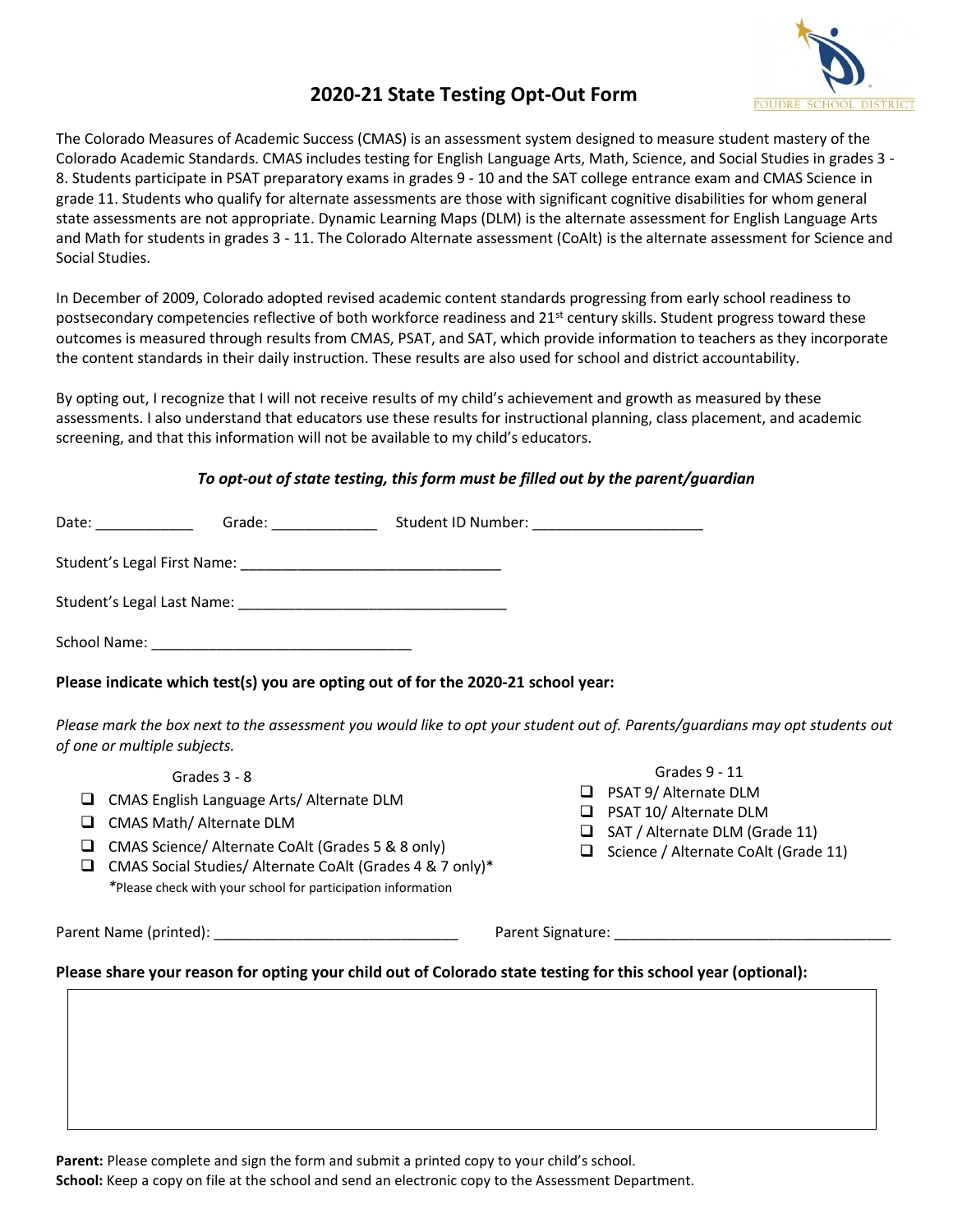

## **2020-21 State Testing Opt-Out Form**

The Colorado Measures of Academic Success (CMAS) is an assessment system designed to measure student mastery of the Colorado Academic Standards. CMAS includes testing for English Language Arts, Math, Science, and Social Studies in grades 3 - 8. Students participate in PSAT preparatory exams in grades 9 - 10 and the SAT college entrance exam and CMAS Science in grade 11. Students who qualify for alternate assessments are those with significant cognitive disabilities for whom general state assessments are not appropriate. Dynamic Learning Maps (DLM) is the alternate assessment for English Language Arts and Math for students in grades 3 - 11. The Colorado Alternate assessment (CoAlt) is the alternate assessment for Science and Social Studies.

In December of 2009, Colorado adopted revised academic content standards progressing from early school readiness to postsecondary competencies reflective of both workforce readiness and  $21^{st}$  century skills. Student progress toward these outcomes is measured through results from CMAS, PSAT, and SAT, which provide information to teachers as they incorporate the content standards in their daily instruction. These results are also used for school and district accountability.

By opting out, I recognize that I will not receive results of my child's achievement and growth as measured by these assessments. I also understand that educators use these results for instructional planning, class placement, and academic screening, and that this information will not be available to my child's educators.

## *To opt-out of state testing, this form must be filled out by the parent/guardian*

| Date:<br><u>and the community</u> | Grade:                                                                                                                                                                                                                               | Student ID Number: The Contract of the Contract of the Contract of the Contract of the Contract of the Contract of the Contract of the Contract of the Contract of the Contract of the Contract of the Contract of the Contrac |  |
|-----------------------------------|--------------------------------------------------------------------------------------------------------------------------------------------------------------------------------------------------------------------------------------|--------------------------------------------------------------------------------------------------------------------------------------------------------------------------------------------------------------------------------|--|
| Student's Legal First Name:       | <u> 1980 - Jan Stein Stein Stein Stein Stein Stein Stein Stein Stein Stein Stein Stein Stein Stein Stein Stein Stein Stein Stein Stein Stein Stein Stein Stein Stein Stein Stein Stein Stein Stein Stein Stein Stein Stein Stein</u> |                                                                                                                                                                                                                                |  |
| Student's Legal Last Name:        |                                                                                                                                                                                                                                      |                                                                                                                                                                                                                                |  |
| School Name:                      |                                                                                                                                                                                                                                      |                                                                                                                                                                                                                                |  |

## **Please indicate which test(s) you are opting out of for the 2020-21 school year:**

*Please mark the box next to the assessment you would like to opt your student out of. Parents/guardians may opt students out of one or multiple subjects.*

Grades 3 - 8

- ❑ CMAS English Language Arts/ Alternate DLM
- ❑ CMAS Math/ Alternate DLM
- ❑ CMAS Science/ Alternate CoAlt (Grades 5 & 8 only)
- ❑ CMAS Social Studies/ Alternate CoAlt (Grades 4 & 7 only)\* *\**Please check with your school for participation information

Parent Name (printed): example and the set of the Parent Signature:  $\blacksquare$ 

Grades 9 - 11

❑ ❑ SAT / Alternate DLM (Grade 11) ❑ Science / Alternate CoAlt (Grade 11)

❑ ❑ PSAT 9/ Alternate DLM ❑ ❑ PSAT 10/ Alternate DLM

**Please share your reason for opting your child out of Colorado state testing for this school year (optional):**

Parent: Please complete and sign the form and submit a printed copy to your child's school. **School:** Keep a copy on file at the school and send an electronic copy to the Assessment Department.